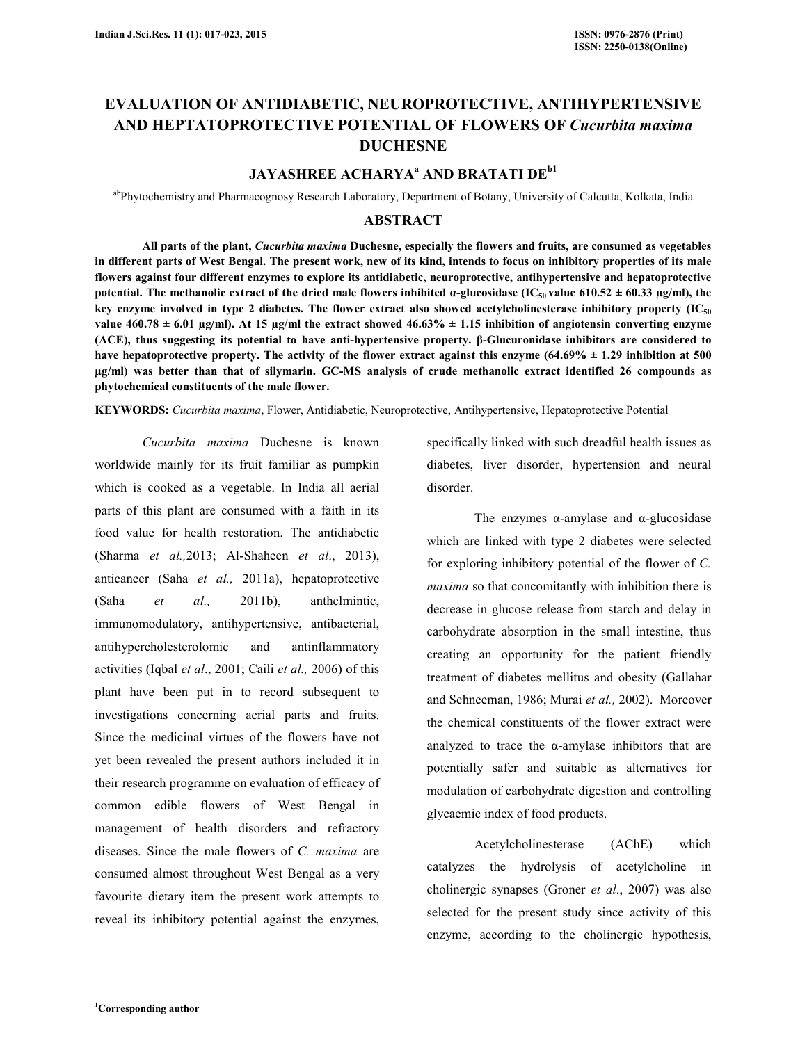# **EVALUATION OF ANTIDIABETIC, NEUROPROTECTIVE, ANTIHYPERTENSIVE AND HEPTATOPROTECTIVE POTENTIAL OF FLOWERS OF** *Cucurbita maxima* **DUCHESNE**

# **JAYASHREE ACHARYA<sup>a</sup> AND BRATATI DEb1**

abPhytochemistry and Pharmacognosy Research Laboratory, Department of Botany, University of Calcutta, Kolkata, India

### **ABSTRACT**

 **All parts of the plant,** *Cucurbita maxima* **Duchesne, especially the flowers and fruits, are consumed as vegetables in different parts of West Bengal. The present work, new of its kind, intends to focus on inhibitory properties of its male flowers against four different enzymes to explore its antidiabetic, neuroprotective, antihypertensive and hepatoprotective potential.** The methanolic extract of the dried male flowers inhibited  $\alpha$ -glucosidase (IC<sub>50</sub> value 610.52  $\pm$  60.33  $\mu$ g/ml), the **key enzyme involved in type 2 diabetes. The flower extract also showed acetylcholinesterase inhibitory property (IC<sup>50</sup>** value  $460.78 \pm 6.01$   $\mu$ g/ml). At 15  $\mu$ g/ml the extract showed  $46.63\% \pm 1.15$  inhibition of angiotensin converting enzyme **(ACE), thus suggesting its potential to have anti-hypertensive property. β-Glucuronidase inhibitors are considered to have hepatoprotective property. The activity of the flower extract against this enzyme (64.69% ± 1.29 inhibition at 500 µg/ml) was better than that of silymarin. GC-MS analysis of crude methanolic extract identified 26 compounds as phytochemical constituents of the male flower.** 

**KEYWORDS:** *Cucurbita maxima*, Flower, Antidiabetic, Neuroprotective, Antihypertensive, Hepatoprotective Potential

 *Cucurbita maxima* Duchesne is known worldwide mainly for its fruit familiar as pumpkin which is cooked as a vegetable. In India all aerial parts of this plant are consumed with a faith in its food value for health restoration. The antidiabetic (Sharma *et al.,*2013; Al-Shaheen *et al*., 2013), anticancer (Saha *et al.,* 2011a), hepatoprotective (Saha *et al.,* 2011b), anthelmintic, immunomodulatory, antihypertensive, antibacterial, antihypercholesterolomic and antinflammatory activities (Iqbal *et al*., 2001; Caili *et al.,* 2006) of this plant have been put in to record subsequent to investigations concerning aerial parts and fruits. Since the medicinal virtues of the flowers have not yet been revealed the present authors included it in their research programme on evaluation of efficacy of common edible flowers of West Bengal in management of health disorders and refractory diseases. Since the male flowers of *C. maxima* are consumed almost throughout West Bengal as a very favourite dietary item the present work attempts to reveal its inhibitory potential against the enzymes,

specifically linked with such dreadful health issues as diabetes, liver disorder, hypertension and neural disorder.

The enzymes  $α$ -amylase and  $α$ -glucosidase which are linked with type 2 diabetes were selected for exploring inhibitory potential of the flower of *C. maxima* so that concomitantly with inhibition there is decrease in glucose release from starch and delay in carbohydrate absorption in the small intestine, thus creating an opportunity for the patient friendly treatment of diabetes mellitus and obesity (Gallahar and Schneeman, 1986; Murai *et al.,* 2002). Moreover the chemical constituents of the flower extract were analyzed to trace the α-amylase inhibitors that are potentially safer and suitable as alternatives for modulation of carbohydrate digestion and controlling glycaemic index of food products.

 Acetylcholinesterase (AChE) which catalyzes the hydrolysis of acetylcholine in cholinergic synapses (Groner *et al*., 2007) was also selected for the present study since activity of this enzyme, according to the cholinergic hypothesis,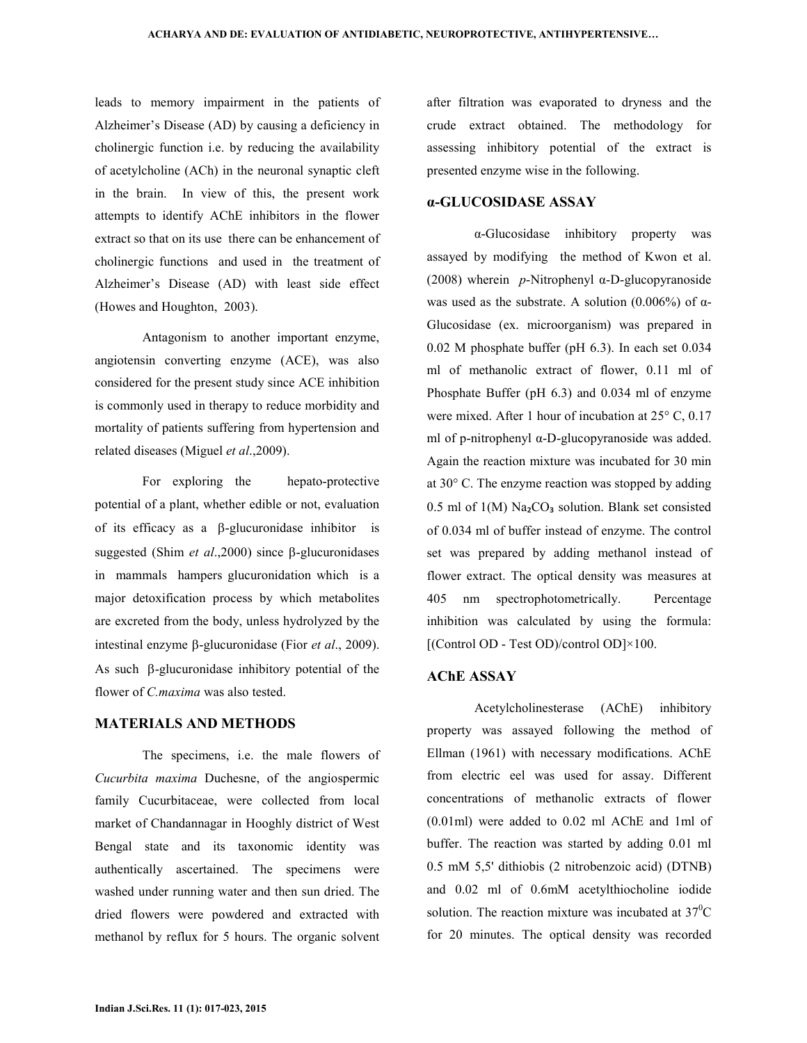leads to memory impairment in the patients of Alzheimer's Disease (AD) by causing a deficiency in cholinergic function i.e. by reducing the availability of acetylcholine (ACh) in the neuronal synaptic cleft in the brain. In view of this, the present work attempts to identify AChE inhibitors in the flower extract so that on its use there can be enhancement of cholinergic functions and used in the treatment of Alzheimer's Disease (AD) with least side effect (Howes and Houghton, 2003).

 Antagonism to another important enzyme, angiotensin converting enzyme (ACE), was also considered for the present study since ACE inhibition is commonly used in therapy to reduce morbidity and mortality of patients suffering from hypertension and related diseases (Miguel *et al*.,2009).

 For exploring the hepato-protective potential of a plant, whether edible or not, evaluation of its efficacy as a β-glucuronidase inhibitor is suggested (Shim *et al*.,2000) since β-glucuronidases in mammals hampers glucuronidation which is a major detoxification process by which metabolites are excreted from the body, unless hydrolyzed by the intestinal enzyme β-glucuronidase (Fior *et al*., 2009). As such β-glucuronidase inhibitory potential of the flower of *C.maxima* was also tested.

## **MATERIALS AND METHODS**

 The specimens, i.e. the male flowers of *Cucurbita maxima* Duchesne, of the angiospermic family Cucurbitaceae, were collected from local market of Chandannagar in Hooghly district of West Bengal state and its taxonomic identity was authentically ascertained. The specimens were washed under running water and then sun dried. The dried flowers were powdered and extracted with methanol by reflux for 5 hours. The organic solvent

after filtration was evaporated to dryness and the crude extract obtained. The methodology for assessing inhibitory potential of the extract is presented enzyme wise in the following.

# **α-GLUCOSIDASE ASSAY**

 α-Glucosidase inhibitory property was assayed by modifying the method of Kwon et al. (2008) wherein *p*-Nitrophenyl α-D-glucopyranoside was used as the substrate. A solution  $(0.006\%)$  of  $\alpha$ -Glucosidase (ex. microorganism) was prepared in 0.02 M phosphate buffer (pH 6.3). In each set 0.034 ml of methanolic extract of flower, 0.11 ml of Phosphate Buffer (pH 6.3) and 0.034 ml of enzyme were mixed. After 1 hour of incubation at 25° C, 0.17 ml of p-nitrophenyl α-D-glucopyranoside was added. Again the reaction mixture was incubated for 30 min at 30° C. The enzyme reaction was stopped by adding 0.5 ml of  $1(M)$  Na<sub>2</sub>CO<sub>3</sub> solution. Blank set consisted of 0.034 ml of buffer instead of enzyme. The control set was prepared by adding methanol instead of flower extract. The optical density was measures at 405 nm spectrophotometrically. Percentage inhibition was calculated by using the formula: [(Control OD - Test OD)/control OD]×100.

### **AChE ASSAY**

 Acetylcholinesterase (AChE) inhibitory property was assayed following the method of Ellman (1961) with necessary modifications. AChE from electric eel was used for assay. Different concentrations of methanolic extracts of flower (0.01ml) were added to 0.02 ml AChE and 1ml of buffer. The reaction was started by adding 0.01 ml 0.5 mM 5,5' dithiobis (2 nitrobenzoic acid) (DTNB) and 0.02 ml of 0.6mM acetylthiocholine iodide solution. The reaction mixture was incubated at  $37^{\circ}$ C for 20 minutes. The optical density was recorded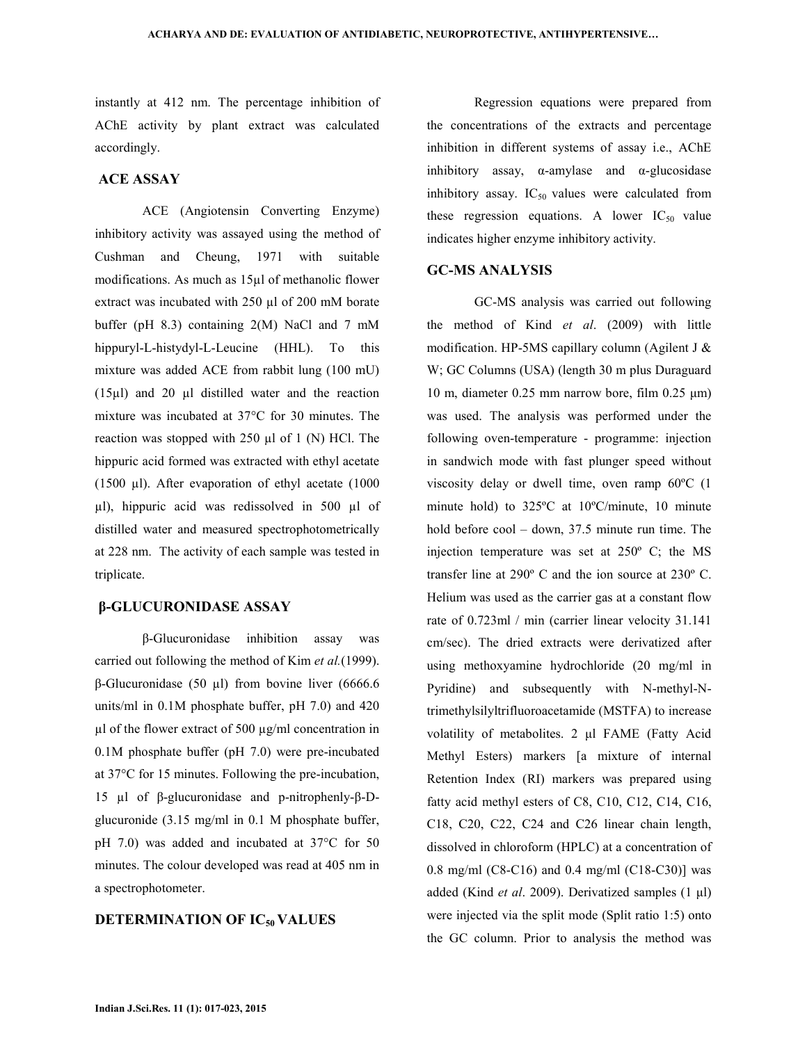instantly at 412 nm. The percentage inhibition of AChE activity by plant extract was calculated accordingly.

### **ACE ASSAY**

 ACE (Angiotensin Converting Enzyme) inhibitory activity was assayed using the method of Cushman and Cheung, 1971 with suitable modifications. As much as 15µl of methanolic flower extract was incubated with 250 µl of 200 mM borate buffer (pH 8.3) containing 2(M) NaCl and 7 mM hippuryl-L-histydyl-L-Leucine (HHL). To this mixture was added ACE from rabbit lung (100 mU)  $(15µ)$  and 20 µl distilled water and the reaction mixture was incubated at 37°C for 30 minutes. The reaction was stopped with 250 µl of 1 (N) HCl. The hippuric acid formed was extracted with ethyl acetate (1500 µl). After evaporation of ethyl acetate (1000 µl), hippuric acid was redissolved in 500 µl of distilled water and measured spectrophotometrically at 228 nm. The activity of each sample was tested in triplicate.

## **β-GLUCURONIDASE ASSAY**

 β-Glucuronidase inhibition assay was carried out following the method of Kim *et al.*(1999). β-Glucuronidase (50 µl) from bovine liver (6666.6 units/ml in 0.1M phosphate buffer, pH 7.0) and 420  $\mu$ l of the flower extract of 500  $\mu$ g/ml concentration in 0.1M phosphate buffer (pH 7.0) were pre-incubated at 37°C for 15 minutes. Following the pre-incubation, 15 µl of β-glucuronidase and p-nitrophenly-β-Dglucuronide (3.15 mg/ml in 0.1 M phosphate buffer, pH 7.0) was added and incubated at 37°C for 50 minutes. The colour developed was read at 405 nm in a spectrophotometer.

# **DETERMINATION OF IC50 VALUES**

 Regression equations were prepared from the concentrations of the extracts and percentage inhibition in different systems of assay i.e., AChE inhibitory assay,  $\alpha$ -amylase and  $\alpha$ -glucosidase inhibitory assay.  $IC_{50}$  values were calculated from these regression equations. A lower  $IC_{50}$  value indicates higher enzyme inhibitory activity.

### **GC-MS ANALYSIS**

 GC-MS analysis was carried out following the method of Kind *et al*. (2009) with little modification. HP-5MS capillary column (Agilent J & W; GC Columns (USA) (length 30 m plus Duraguard 10 m, diameter 0.25 mm narrow bore, film 0.25 µm) was used. The analysis was performed under the following oven-temperature - programme: injection in sandwich mode with fast plunger speed without viscosity delay or dwell time, oven ramp 60ºC (1 minute hold) to 325ºC at 10ºC/minute, 10 minute hold before cool – down, 37.5 minute run time. The injection temperature was set at 250º C; the MS transfer line at 290º C and the ion source at 230º C. Helium was used as the carrier gas at a constant flow rate of 0.723ml / min (carrier linear velocity 31.141 cm/sec). The dried extracts were derivatized after using methoxyamine hydrochloride (20 mg/ml in Pyridine) and subsequently with N-methyl-Ntrimethylsilyltrifluoroacetamide (MSTFA) to increase volatility of metabolites. 2 µl FAME (Fatty Acid Methyl Esters) markers [a mixture of internal Retention Index (RI) markers was prepared using fatty acid methyl esters of C8, C10, C12, C14, C16, C18, C20, C22, C24 and C26 linear chain length, dissolved in chloroform (HPLC) at a concentration of 0.8 mg/ml (C8-C16) and 0.4 mg/ml (C18-C30)] was added (Kind *et al*. 2009). Derivatized samples (1 µl) were injected via the split mode (Split ratio 1:5) onto the GC column. Prior to analysis the method was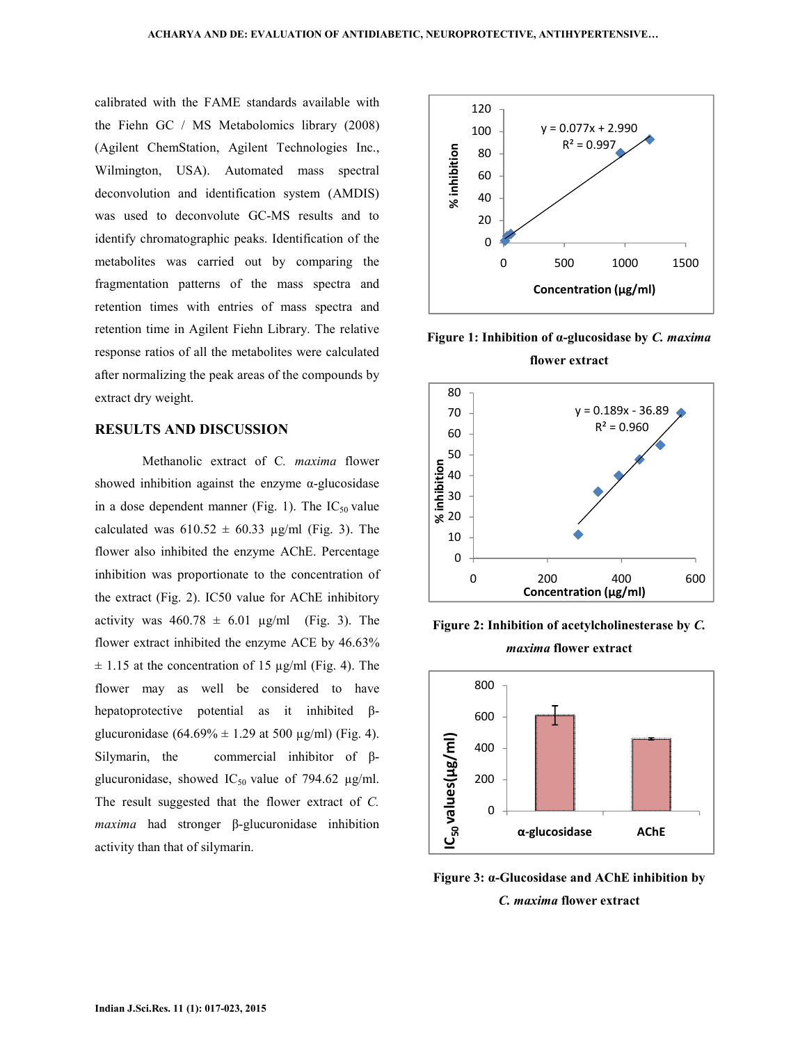calibrated with the FAME standards available with the Fiehn GC / MS Metabolomics library (2008) (Agilent ChemStation, Agilent Technologies Inc., Wilmington, USA). Automated mass spectral deconvolution and identification system (AMDIS) was used to deconvolute GC-MS results and to identify chromatographic peaks. Identification of the metabolites was carried out by comparing the fragmentation patterns of the mass spectra and retention times with entries of mass spectra and retention time in Agilent Fiehn Library. The relative response ratios of all the metabolites were calculated after normalizing the peak areas of the compounds by extract dry weight.

## **RESULTS AND DISCUSSION**

 Methanolic extract of C*. maxima* flower showed inhibition against the enzyme  $\alpha$ -glucosidase in a dose dependent manner (Fig. 1). The  $IC_{50}$  value calculated was  $610.52 \pm 60.33$  µg/ml (Fig. 3). The flower also inhibited the enzyme AChE. Percentage inhibition was proportionate to the concentration of the extract (Fig. 2). IC50 value for AChE inhibitory activity was  $460.78 \pm 6.01$   $\mu$ g/ml (Fig. 3). The flower extract inhibited the enzyme ACE by 46.63%  $\pm$  1.15 at the concentration of 15 µg/ml (Fig. 4). The flower may as well be considered to have hepatoprotective potential as it inhibited βglucuronidase  $(64.69\% \pm 1.29 \text{ at } 500 \text{ µg/ml})$  (Fig. 4). Silymarin, the commercial inhibitor of βglucuronidase, showed IC<sub>50</sub> value of 794.62  $\mu$ g/ml. The result suggested that the flower extract of *C. maxima* had stronger β-glucuronidase inhibition activity than that of silymarin.



**Figure 1: Inhibition of α-glucosidase by** *C. maxima* **flower extract** 



**Figure 2: Inhibition of acetylcholinesterase by** *C. maxima* **flower extract** 



**Figure 3: α-Glucosidase and AChE inhibition by**  *C. maxima* **flower extract**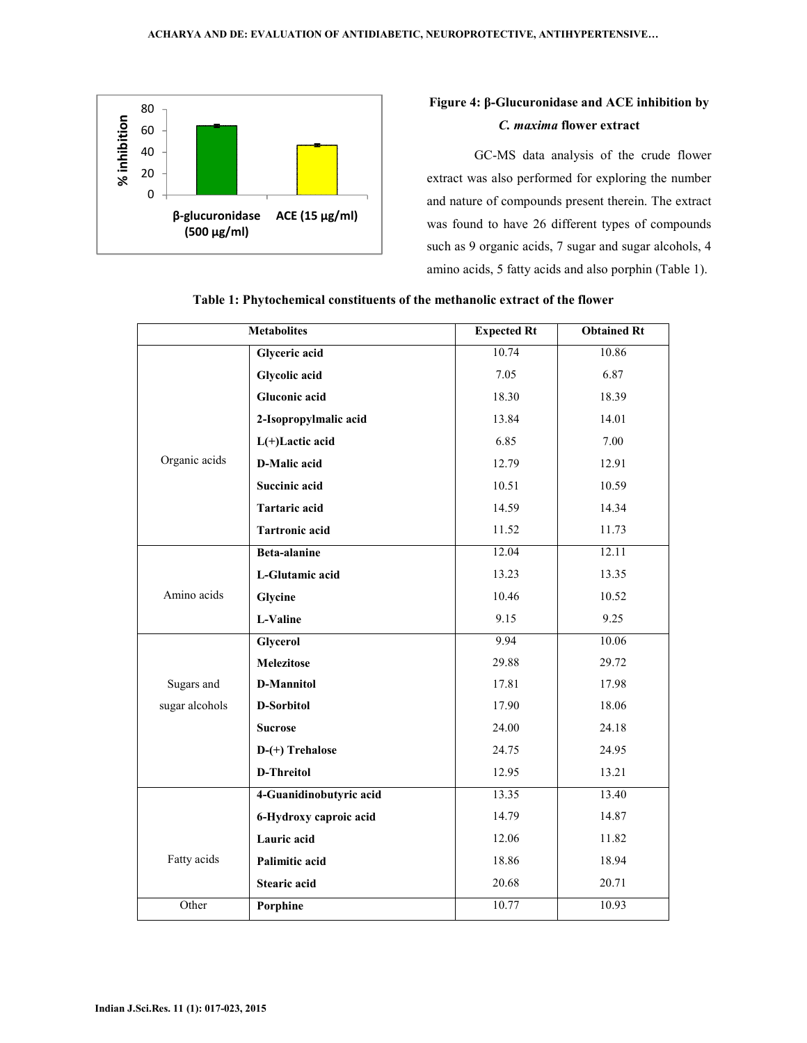

# **Figure 4: β-Glucuronidase and ACE inhibition by**  *C. maxima* **flower extract**

 GC-MS data analysis of the crude flower extract was also performed for exploring the number and nature of compounds present therein. The extract was found to have 26 different types of compounds such as 9 organic acids, 7 sugar and sugar alcohols, 4 amino acids, 5 fatty acids and also porphin (Table 1).

| <b>Metabolites</b> |                         | <b>Expected Rt</b> | <b>Obtained Rt</b> |
|--------------------|-------------------------|--------------------|--------------------|
|                    | Glyceric acid           | 10.74              | 10.86              |
|                    | Glycolic acid           | 7.05               | 6.87               |
|                    | <b>Gluconic acid</b>    | 18.30              | 18.39              |
|                    | 2-Isopropylmalic acid   | 13.84              | 14.01              |
|                    | $L(+)$ Lactic acid      | 6.85               | 7.00               |
| Organic acids      | D-Malic acid            | 12.79              | 12.91              |
|                    | <b>Succinic acid</b>    | 10.51              | 10.59              |
|                    | Tartaric acid           | 14.59              | 14.34              |
|                    | <b>Tartronic acid</b>   | 11.52              | 11.73              |
|                    | <b>Beta-alanine</b>     | 12.04              | 12.11              |
|                    | L-Glutamic acid         | 13.23              | 13.35              |
| Amino acids        | Glycine                 | 10.46              | 10.52              |
|                    | L-Valine                | 9.15               | 9.25               |
|                    | Glycerol                | 9.94               | 10.06              |
|                    | Melezitose              | 29.88              | 29.72              |
| Sugars and         | D-Mannitol              | 17.81              | 17.98              |
| sugar alcohols     | D-Sorbitol              | 17.90              | 18.06              |
|                    | <b>Sucrose</b>          | 24.00              | 24.18              |
|                    | D-(+) Trehalose         | 24.75              | 24.95              |
|                    | D-Threitol              | 12.95              | 13.21              |
|                    | 4-Guanidinobutyric acid | 13.35              | 13.40              |
|                    | 6-Hydroxy caproic acid  | 14.79              | 14.87              |
|                    | Lauric acid             | 12.06              | 11.82              |
| Fatty acids        | Palimitic acid          | 18.86              | 18.94              |
|                    | <b>Stearic acid</b>     | 20.68              | 20.71              |
| Other              | Porphine                | 10.77              | 10.93              |

# **Table 1: Phytochemical constituents of the methanolic extract of the flower**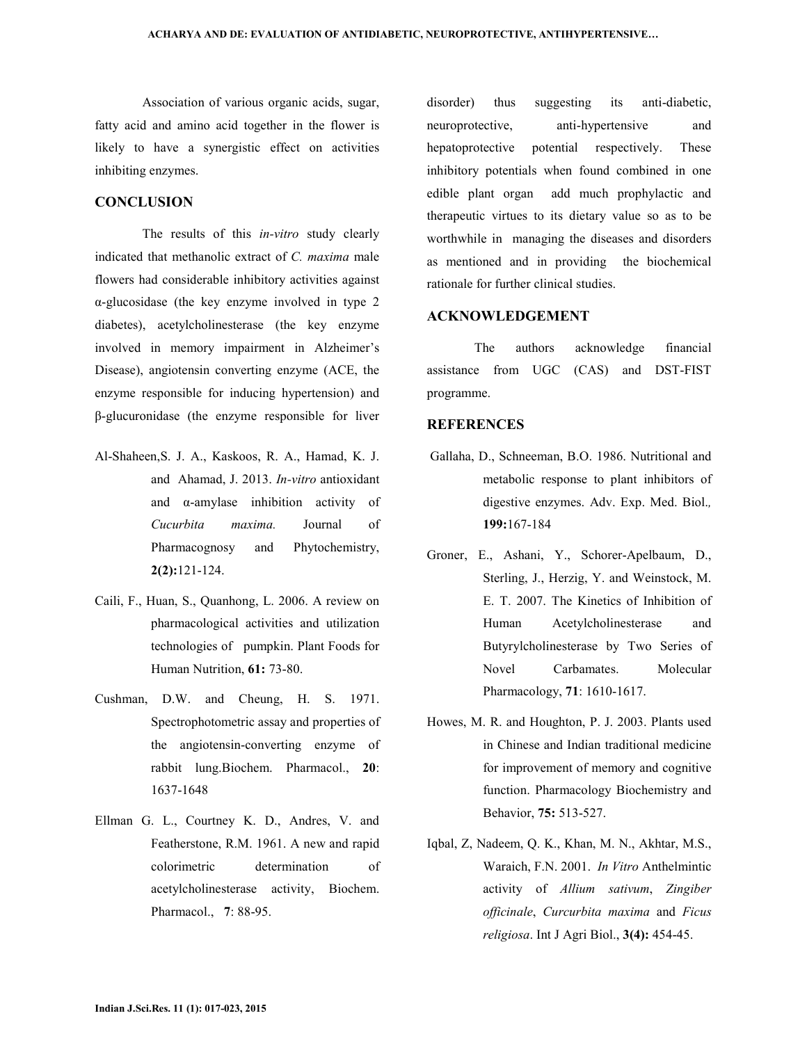Association of various organic acids, sugar, fatty acid and amino acid together in the flower is likely to have a synergistic effect on activities inhibiting enzymes.

# **CONCLUSION**

 The results of this *in-vitro* study clearly indicated that methanolic extract of *C. maxima* male flowers had considerable inhibitory activities against α-glucosidase (the key enzyme involved in type 2 diabetes), acetylcholinesterase (the key enzyme involved in memory impairment in Alzheimer's Disease), angiotensin converting enzyme (ACE, the enzyme responsible for inducing hypertension) and β-glucuronidase (the enzyme responsible for liver

- Al-Shaheen,S. J. A., Kaskoos, R. A., Hamad, K. J. and Ahamad, J. 2013. *In-vitro* antioxidant and α-amylase inhibition activity of *Cucurbita maxima.* Journal of Pharmacognosy and Phytochemistry, **2(2):**121-124.
- Caili, F., Huan, S., Quanhong, L. 2006. A review on pharmacological activities and utilization technologies of pumpkin. Plant Foods for Human Nutrition, **61:** 73-80.
- Cushman, D.W. and Cheung, H. S. 1971. Spectrophotometric assay and properties of the angiotensin-converting enzyme of rabbit lung.Biochem. Pharmacol., **20**: 1637-1648
- Ellman G. L., Courtney K. D., Andres, V. and Featherstone, R.M. 1961. A new and rapid colorimetric determination of acetylcholinesterase activity, Biochem. Pharmacol., **7**: 88-95.

disorder) thus suggesting its anti-diabetic, neuroprotective, anti-hypertensive and hepatoprotective potential respectively. These inhibitory potentials when found combined in one edible plant organ add much prophylactic and therapeutic virtues to its dietary value so as to be worthwhile in managing the diseases and disorders as mentioned and in providing the biochemical rationale for further clinical studies.

#### **ACKNOWLEDGEMENT**

 The authors acknowledge financial assistance from UGC (CAS) and DST-FIST programme.

### **REFERENCES**

- Gallaha, D., Schneeman, B.O. 1986. Nutritional and metabolic response to plant inhibitors of digestive enzymes. Adv. Exp. Med. Biol.*,* **199:**167-184
- Groner, E., Ashani, Y., Schorer-Apelbaum, D., Sterling, J., Herzig, Y. and Weinstock, M. E. T. 2007. The Kinetics of Inhibition of Human Acetylcholinesterase and Butyrylcholinesterase by Two Series of Novel Carbamates. Molecular Pharmacology, **71**: 1610-1617.
- Howes, M. R. and Houghton, P. J. 2003. Plants used in Chinese and Indian traditional medicine for improvement of memory and cognitive function. Pharmacology Biochemistry and Behavior, **75:** 513-527.
- Iqbal, Z, Nadeem, Q. K., Khan, M. N., Akhtar, M.S., Waraich, F.N. 2001. *In Vitro* Anthelmintic activity of *Allium sativum*, *Zingiber officinale*, *Curcurbita maxima* and *Ficus religiosa*. Int J Agri Biol., **3(4):** 454-45.